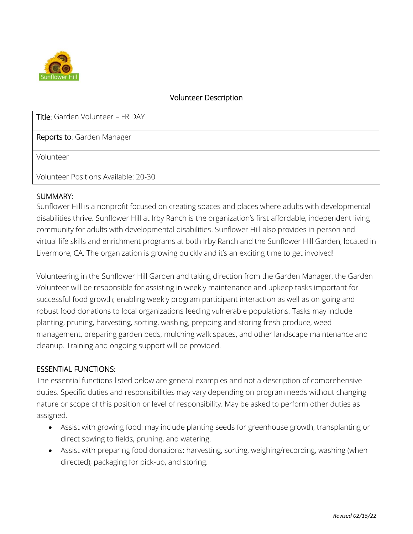

### Volunteer Description

| Title: Garden Volunteer - FRIDAY     |
|--------------------------------------|
| Reports to: Garden Manager           |
| Volunteer                            |
| Volunteer Positions Available: 20-30 |

#### SUMMARY:

Sunflower Hill is a nonprofit focused on creating spaces and places where adults with developmental disabilities thrive. Sunflower Hill at Irby Ranch is the organization's first affordable, independent living community for adults with developmental disabilities. Sunflower Hill also provides in-person and virtual life skills and enrichment programs at both Irby Ranch and the Sunflower Hill Garden, located in Livermore, CA. The organization is growing quickly and it's an exciting time to get involved!

Volunteering in the Sunflower Hill Garden and taking direction from the Garden Manager, the Garden Volunteer will be responsible for assisting in weekly maintenance and upkeep tasks important for successful food growth; enabling weekly program participant interaction as well as on-going and robust food donations to local organizations feeding vulnerable populations. Tasks may include planting, pruning, harvesting, sorting, washing, prepping and storing fresh produce, weed management, preparing garden beds, mulching walk spaces, and other landscape maintenance and cleanup. Training and ongoing support will be provided.

#### ESSENTIAL FUNCTIONS:

The essential functions listed below are general examples and not a description of comprehensive duties. Specific duties and responsibilities may vary depending on program needs without changing nature or scope of this position or level of responsibility. May be asked to perform other duties as assigned.

- Assist with growing food: may include planting seeds for greenhouse growth, transplanting or direct sowing to fields, pruning, and watering.
- Assist with preparing food donations: harvesting, sorting, weighing/recording, washing (when directed), packaging for pick-up, and storing.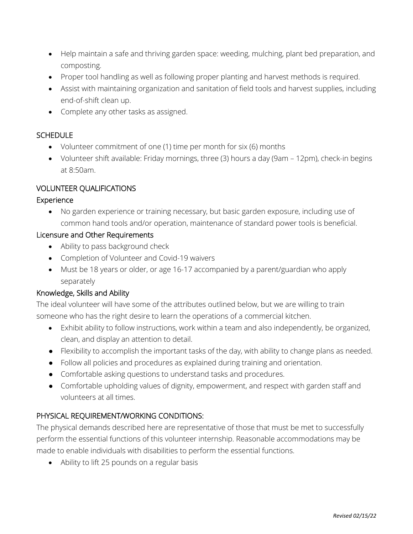- Help maintain a safe and thriving garden space: weeding, mulching, plant bed preparation, and composting.
- Proper tool handling as well as following proper planting and harvest methods is required.
- Assist with maintaining organization and sanitation of field tools and harvest supplies, including end-of-shift clean up.
- Complete any other tasks as assigned.

# **SCHEDULE**

- Volunteer commitment of one (1) time per month for six (6) months
- Volunteer shift available: Friday mornings, three (3) hours a day (9am 12pm), check-in begins at 8:50am.

# VOLUNTEER QUALIFICATIONS

## Experience

• No garden experience or training necessary, but basic garden exposure, including use of common hand tools and/or operation, maintenance of standard power tools is beneficial.

## Licensure and Other Requirements

- Ability to pass background check
- Completion of Volunteer and Covid-19 waivers
- Must be 18 years or older, or age 16-17 accompanied by a parent/guardian who apply separately

## Knowledge, Skills and Ability

The ideal volunteer will have some of the attributes outlined below, but we are willing to train someone who has the right desire to learn the operations of a commercial kitchen.

- Exhibit ability to follow instructions, work within a team and also independently, be organized, clean, and display an attention to detail.
- Flexibility to accomplish the important tasks of the day, with ability to change plans as needed.
- Follow all policies and procedures as explained during training and orientation.
- Comfortable asking questions to understand tasks and procedures.
- Comfortable upholding values of dignity, empowerment, and respect with garden staff and volunteers at all times.

## PHYSICAL REQUIREMENT/WORKING CONDITIONS:

The physical demands described here are representative of those that must be met to successfully perform the essential functions of this volunteer internship. Reasonable accommodations may be made to enable individuals with disabilities to perform the essential functions.

• Ability to lift 25 pounds on a regular basis